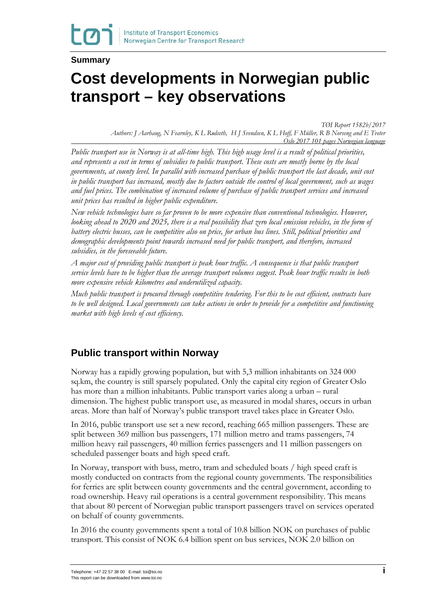#### **Summary**

# **Cost developments in Norwegian public transport – key observations**

*TØI Report 1582b/2017 Authors: J Aarhaug, N Fearnley, K L Rødseth, H J Svendsen, K L Hoff, F Müller, R B Norseng and E Tveter Oslo 2017 101 pages Norwegian language*

*Public transport use in Norway is at all-time high. This high usage level is a result of political priorities, and represents a cost in terms of subsidies to public transport. These costs are mostly borne by the local governments, at county level. In parallel with increased purchase of public transport the last decade, unit cost in public transport has increased, mostly due to factors outside the control of local government, such as wages and fuel prices. The combination of increased volume of purchase of public transport services and increased unit prices has resulted in higher public expenditure.*

*New vehicle technologies have so far proven to be more expensive than conventional technologies. However, looking ahead to 2020 and 2025, there is a real possibility that zero local emission vehicles, in the form of battery electric busses, can be competitive also on price, for urban bus lines. Still, political priorities and demographic developments point towards increased need for public transport, and therefore, increased subsidies, in the foreseeable future.* 

*A major cost of providing public transport is peak hour traffic. A consequence is that public transport service levels have to be higher than the average transport volumes suggest. Peak hour traffic results in both more expensive vehicle kilometres and underutilized capacity.* 

*Much public transport is procured through competitive tendering. For this to be cost efficient, contracts have to be well designed. Local governments can take actions in order to provide for a competitive and functioning market with high levels of cost efficiency.*

#### **Public transport within Norway**

Norway has a rapidly growing population, but with 5,3 million inhabitants on 324 000 sq.km, the country is still sparsely populated. Only the capital city region of Greater Oslo has more than a million inhabitants. Public transport varies along a urban – rural dimension. The highest public transport use, as measured in modal shares, occurs in urban areas. More than half of Norway's public transport travel takes place in Greater Oslo.

In 2016, public transport use set a new record, reaching 665 million passengers. These are split between 369 million bus passengers, 171 million metro and trams passengers, 74 million heavy rail passengers, 40 million ferries passengers and 11 million passengers on scheduled passenger boats and high speed craft.

In Norway, transport with buss, metro, tram and scheduled boats / high speed craft is mostly conducted on contracts from the regional county governments. The responsibilities for ferries are split between county governments and the central government, according to road ownership. Heavy rail operations is a central government responsibility. This means that about 80 percent of Norwegian public transport passengers travel on services operated on behalf of county governments.

In 2016 the county governments spent a total of 10.8 billion NOK on purchases of public transport. This consist of NOK 6.4 billion spent on bus services, NOK 2.0 billion on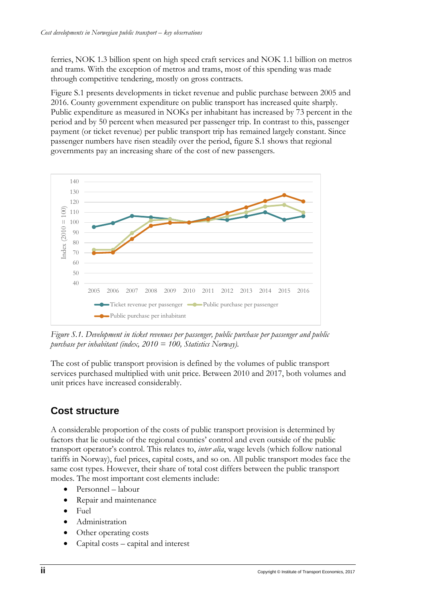ferries, NOK 1.3 billion spent on high speed craft services and NOK 1.1 billion on metros and trams. With the exception of metros and trams, most of this spending was made through competitive tendering, mostly on gross contracts.

Figure S.1 presents developments in ticket revenue and public purchase between 2005 and 2016. County government expenditure on public transport has increased quite sharply. Public expenditure as measured in NOKs per inhabitant has increased by 73 percent in the period and by 50 percent when measured per passenger trip. In contrast to this, passenger payment (or ticket revenue) per public transport trip has remained largely constant. Since passenger numbers have risen steadily over the period, figure S.1 shows that regional governments pay an increasing share of the cost of new passengers.



*Figure S.1. Development in ticket revenues per passenger, public purchase per passenger and public purchase per inhabitant (index, 2010 = 100, Statistics Norway).* 

The cost of public transport provision is defined by the volumes of public transport services purchased multiplied with unit price. Between 2010 and 2017, both volumes and unit prices have increased considerably.

# **Cost structure**

A considerable proportion of the costs of public transport provision is determined by factors that lie outside of the regional counties' control and even outside of the public transport operator's control. This relates to, *inter alia*, wage levels (which follow national tariffs in Norway), fuel prices, capital costs, and so on. All public transport modes face the same cost types. However, their share of total cost differs between the public transport modes. The most important cost elements include:

- Personnel labour
- Repair and maintenance
- Fuel
- Administration
- Other operating costs
- Capital costs capital and interest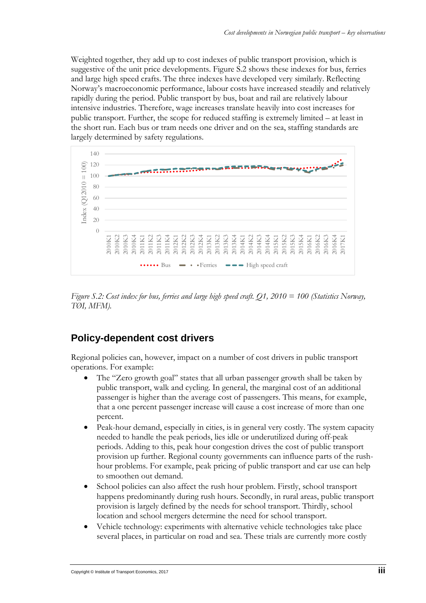Weighted together, they add up to cost indexes of public transport provision, which is suggestive of the unit price developments. Figure S.2 shows these indexes for bus, ferries and large high speed crafts. The three indexes have developed very similarly. Reflecting Norway's macroeconomic performance, labour costs have increased steadily and relatively rapidly during the period. Public transport by bus, boat and rail are relatively labour intensive industries. Therefore, wage increases translate heavily into cost increases for public transport. Further, the scope for reduced staffing is extremely limited – at least in the short run. Each bus or tram needs one driver and on the sea, staffing standards are largely determined by safety regulations.



*Figure S.2: Cost index for bus, ferries and large high speed craft. Q1, 2010 = 100 (Statistics Norway, TØI, MFM).* 

### **Policy-dependent cost drivers**

Regional policies can, however, impact on a number of cost drivers in public transport operations. For example:

- The "Zero growth goal" states that all urban passenger growth shall be taken by public transport, walk and cycling. In general, the marginal cost of an additional passenger is higher than the average cost of passengers. This means, for example, that a one percent passenger increase will cause a cost increase of more than one percent.
- Peak-hour demand, especially in cities, is in general very costly. The system capacity needed to handle the peak periods, lies idle or underutilized during off-peak periods. Adding to this, peak hour congestion drives the cost of public transport provision up further. Regional county governments can influence parts of the rushhour problems. For example, peak pricing of public transport and car use can help to smoothen out demand.
- School policies can also affect the rush hour problem. Firstly, school transport happens predominantly during rush hours. Secondly, in rural areas, public transport provision is largely defined by the needs for school transport. Thirdly, school location and school mergers determine the need for school transport.
- Vehicle technology: experiments with alternative vehicle technologies take place several places, in particular on road and sea. These trials are currently more costly